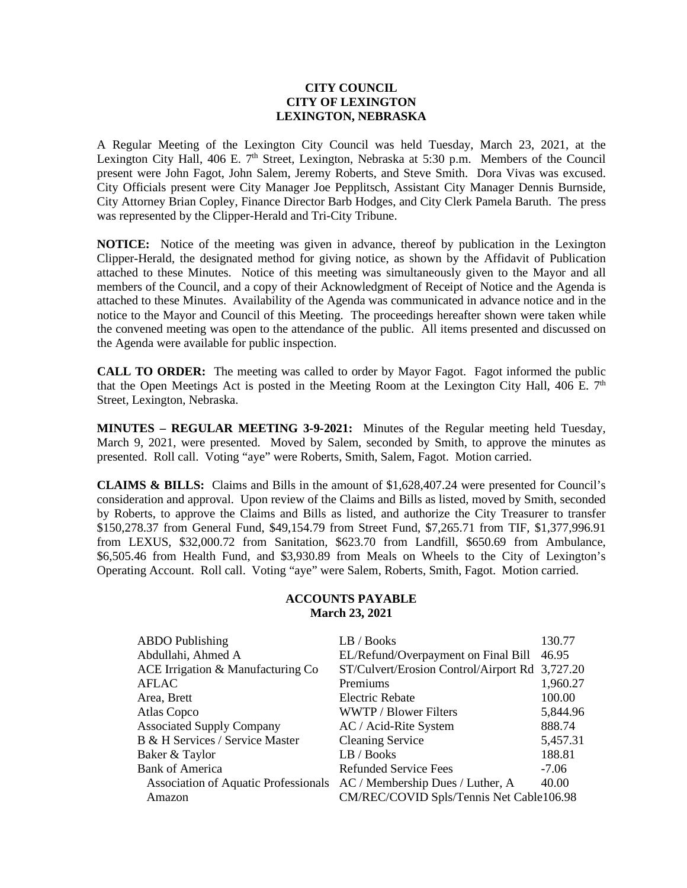## **CITY COUNCIL CITY OF LEXINGTON LEXINGTON, NEBRASKA**

A Regular Meeting of the Lexington City Council was held Tuesday, March 23, 2021, at the Lexington City Hall, 406 E.  $7<sup>th</sup>$  Street, Lexington, Nebraska at 5:30 p.m. Members of the Council present were John Fagot, John Salem, Jeremy Roberts, and Steve Smith. Dora Vivas was excused. City Officials present were City Manager Joe Pepplitsch, Assistant City Manager Dennis Burnside, City Attorney Brian Copley, Finance Director Barb Hodges, and City Clerk Pamela Baruth. The press was represented by the Clipper-Herald and Tri-City Tribune.

**NOTICE:** Notice of the meeting was given in advance, thereof by publication in the Lexington Clipper-Herald, the designated method for giving notice, as shown by the Affidavit of Publication attached to these Minutes. Notice of this meeting was simultaneously given to the Mayor and all members of the Council, and a copy of their Acknowledgment of Receipt of Notice and the Agenda is attached to these Minutes. Availability of the Agenda was communicated in advance notice and in the notice to the Mayor and Council of this Meeting. The proceedings hereafter shown were taken while the convened meeting was open to the attendance of the public. All items presented and discussed on the Agenda were available for public inspection.

**CALL TO ORDER:** The meeting was called to order by Mayor Fagot. Fagot informed the public that the Open Meetings Act is posted in the Meeting Room at the Lexington City Hall, 406 E.  $7<sup>th</sup>$ Street, Lexington, Nebraska.

**MINUTES – REGULAR MEETING 3-9-2021:** Minutes of the Regular meeting held Tuesday, March 9, 2021, were presented. Moved by Salem, seconded by Smith, to approve the minutes as presented. Roll call. Voting "aye" were Roberts, Smith, Salem, Fagot. Motion carried.

**CLAIMS & BILLS:** Claims and Bills in the amount of \$1,628,407.24 were presented for Council's consideration and approval. Upon review of the Claims and Bills as listed, moved by Smith, seconded by Roberts, to approve the Claims and Bills as listed, and authorize the City Treasurer to transfer \$150,278.37 from General Fund, \$49,154.79 from Street Fund, \$7,265.71 from TIF, \$1,377,996.91 from LEXUS, \$32,000.72 from Sanitation, \$623.70 from Landfill, \$650.69 from Ambulance, \$6,505.46 from Health Fund, and \$3,930.89 from Meals on Wheels to the City of Lexington's Operating Account. Roll call. Voting "aye" were Salem, Roberts, Smith, Fagot. Motion carried.

## **ACCOUNTS PAYABLE March 23, 2021**

| <b>ABDO</b> Publishing                                                | LB / Books                                     | 130.77   |
|-----------------------------------------------------------------------|------------------------------------------------|----------|
| Abdullahi, Ahmed A                                                    | EL/Refund/Overpayment on Final Bill            | 46.95    |
| ACE Irrigation & Manufacturing Co                                     | ST/Culvert/Erosion Control/Airport Rd 3,727.20 |          |
| AFLAC                                                                 | Premiums                                       | 1,960.27 |
| Area, Brett                                                           | Electric Rebate                                | 100.00   |
| Atlas Copco                                                           | <b>WWTP</b> / Blower Filters                   | 5,844.96 |
| <b>Associated Supply Company</b>                                      | AC / Acid-Rite System                          | 888.74   |
| B & H Services / Service Master                                       | <b>Cleaning Service</b>                        | 5,457.31 |
| Baker & Taylor                                                        | LB / Books                                     | 188.81   |
| <b>Bank of America</b>                                                | <b>Refunded Service Fees</b>                   | $-7.06$  |
| Association of Aquatic Professionals AC / Membership Dues / Luther, A |                                                | 40.00    |
| Amazon                                                                | CM/REC/COVID Spls/Tennis Net Cable106.98       |          |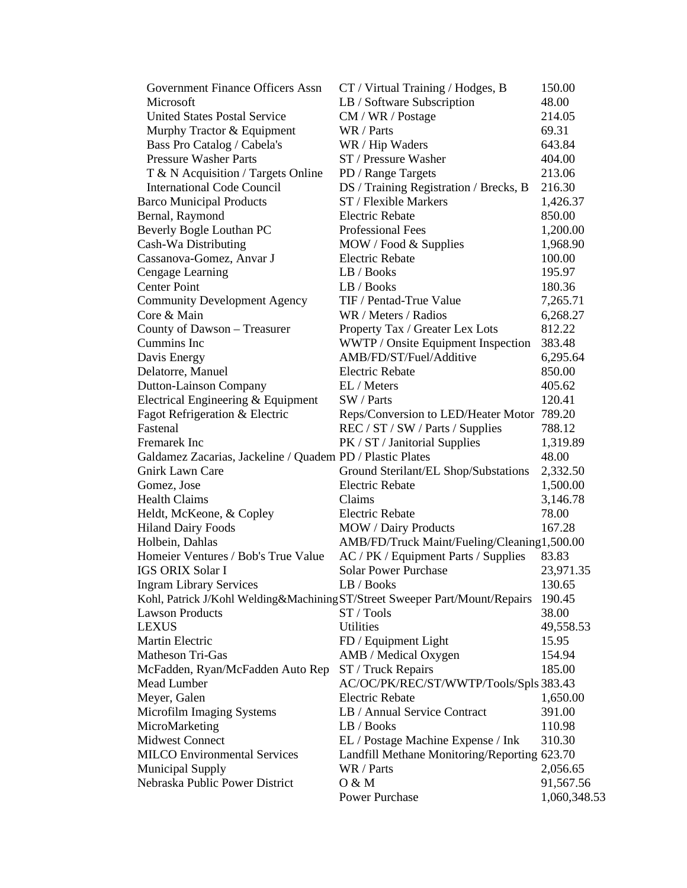| <b>Government Finance Officers Assn</b>                                     | CT / Virtual Training / Hodges, B            | 150.00       |
|-----------------------------------------------------------------------------|----------------------------------------------|--------------|
| Microsoft                                                                   | LB / Software Subscription                   | 48.00        |
| <b>United States Postal Service</b>                                         | CM / WR / Postage                            | 214.05       |
| Murphy Tractor & Equipment                                                  | WR / Parts                                   | 69.31        |
| Bass Pro Catalog / Cabela's                                                 | WR / Hip Waders                              | 643.84       |
| <b>Pressure Washer Parts</b>                                                | ST / Pressure Washer                         | 404.00       |
| T & N Acquisition / Targets Online                                          | PD / Range Targets                           | 213.06       |
| <b>International Code Council</b>                                           | DS / Training Registration / Brecks, B       | 216.30       |
| <b>Barco Municipal Products</b>                                             | ST / Flexible Markers                        | 1,426.37     |
| Bernal, Raymond                                                             | <b>Electric Rebate</b>                       | 850.00       |
| Beverly Bogle Louthan PC                                                    | Professional Fees                            | 1,200.00     |
| Cash-Wa Distributing                                                        | MOW / Food & Supplies                        | 1,968.90     |
| Cassanova-Gomez, Anvar J                                                    | <b>Electric Rebate</b>                       | 100.00       |
| Cengage Learning                                                            | LB / Books                                   | 195.97       |
| <b>Center Point</b>                                                         | LB / Books                                   | 180.36       |
| <b>Community Development Agency</b>                                         | TIF / Pentad-True Value                      | 7,265.71     |
| Core & Main                                                                 | WR / Meters / Radios                         | 6,268.27     |
| County of Dawson - Treasurer                                                | Property Tax / Greater Lex Lots              | 812.22       |
| Cummins Inc                                                                 | WWTP / Onsite Equipment Inspection           | 383.48       |
| Davis Energy                                                                | AMB/FD/ST/Fuel/Additive                      | 6,295.64     |
| Delatorre, Manuel                                                           | <b>Electric Rebate</b>                       | 850.00       |
| <b>Dutton-Lainson Company</b>                                               | EL / Meters                                  | 405.62       |
| Electrical Engineering & Equipment                                          | SW / Parts                                   | 120.41       |
| Fagot Refrigeration & Electric                                              | Reps/Conversion to LED/Heater Motor 789.20   |              |
| Fastenal                                                                    | REC / ST / SW / Parts / Supplies             | 788.12       |
| Fremarek Inc                                                                | PK / ST / Janitorial Supplies                | 1,319.89     |
| Galdamez Zacarias, Jackeline / Quadem PD / Plastic Plates                   |                                              | 48.00        |
| <b>Gnirk Lawn Care</b>                                                      | Ground Sterilant/EL Shop/Substations         | 2,332.50     |
| Gomez, Jose                                                                 | <b>Electric Rebate</b>                       | 1,500.00     |
| <b>Health Claims</b>                                                        | Claims                                       | 3,146.78     |
| Heldt, McKeone, & Copley                                                    | <b>Electric Rebate</b>                       | 78.00        |
| <b>Hiland Dairy Foods</b>                                                   | <b>MOW</b> / Dairy Products                  | 167.28       |
| Holbein, Dahlas                                                             | AMB/FD/Truck Maint/Fueling/Cleaning1,500.00  |              |
| Homeier Ventures / Bob's True Value                                         | AC / PK / Equipment Parts / Supplies         | 83.83        |
| <b>IGS ORIX Solar I</b>                                                     | <b>Solar Power Purchase</b>                  | 23,971.35    |
| <b>Ingram Library Services</b>                                              | LB / Books                                   | 130.65       |
| Kohl, Patrick J/Kohl Welding&Machining ST/Street Sweeper Part/Mount/Repairs |                                              | 190.45       |
| <b>Lawson Products</b>                                                      | ST / Tools                                   | 38.00        |
| <b>LEXUS</b>                                                                | <b>Utilities</b>                             | 49,558.53    |
| Martin Electric                                                             | FD / Equipment Light                         | 15.95        |
| <b>Matheson Tri-Gas</b>                                                     | AMB / Medical Oxygen                         | 154.94       |
| McFadden, Ryan/McFadden Auto Rep                                            | ST / Truck Repairs                           | 185.00       |
| Mead Lumber                                                                 | AC/OC/PK/REC/ST/WWTP/Tools/Spls 383.43       |              |
| Meyer, Galen                                                                | <b>Electric Rebate</b>                       | 1,650.00     |
| Microfilm Imaging Systems                                                   | LB / Annual Service Contract                 | 391.00       |
| MicroMarketing                                                              | LB / Books                                   | 110.98       |
| <b>Midwest Connect</b>                                                      | EL / Postage Machine Expense / Ink           | 310.30       |
| <b>MILCO</b> Environmental Services                                         | Landfill Methane Monitoring/Reporting 623.70 |              |
| <b>Municipal Supply</b>                                                     | WR / Parts                                   | 2,056.65     |
| Nebraska Public Power District                                              | O & M                                        | 91,567.56    |
|                                                                             | Power Purchase                               | 1,060,348.53 |
|                                                                             |                                              |              |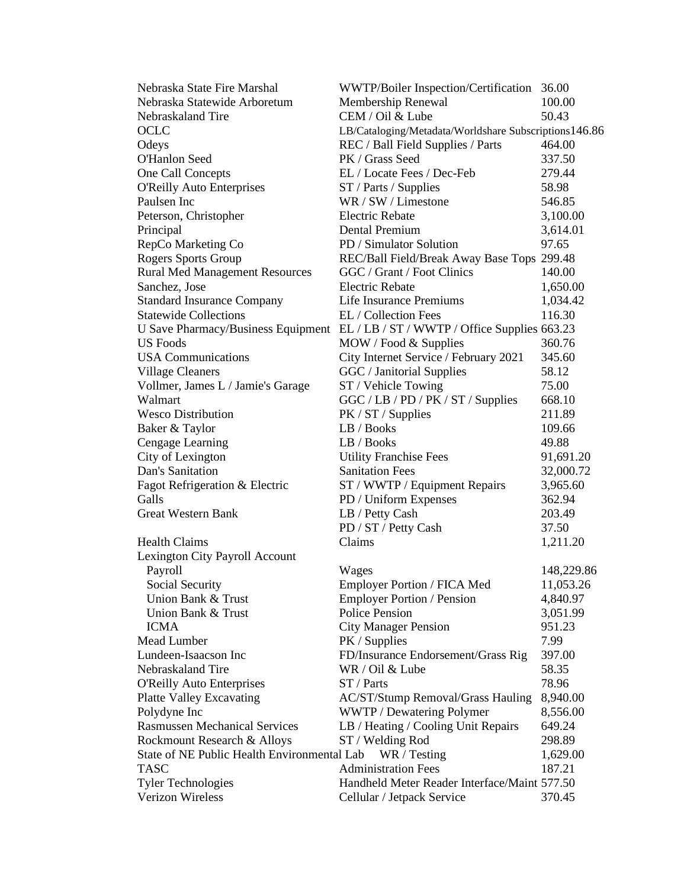| Nebraska State Fire Marshal                 | WWTP/Boiler Inspection/Certification 36.00                                      |            |
|---------------------------------------------|---------------------------------------------------------------------------------|------------|
| Nebraska Statewide Arboretum                | Membership Renewal                                                              | 100.00     |
| Nebraskaland Tire                           | CEM / Oil & Lube                                                                | 50.43      |
| <b>OCLC</b>                                 | LB/Cataloging/Metadata/Worldshare Subscriptions146.86                           |            |
| Odeys                                       | REC / Ball Field Supplies / Parts                                               | 464.00     |
| O'Hanlon Seed                               | PK / Grass Seed                                                                 | 337.50     |
| One Call Concepts                           | EL / Locate Fees / Dec-Feb                                                      | 279.44     |
| <b>O'Reilly Auto Enterprises</b>            | ST / Parts / Supplies                                                           | 58.98      |
| Paulsen Inc                                 | WR / SW / Limestone                                                             | 546.85     |
| Peterson, Christopher                       | <b>Electric Rebate</b>                                                          | 3,100.00   |
| Principal                                   | Dental Premium                                                                  | 3,614.01   |
| RepCo Marketing Co                          | PD / Simulator Solution                                                         | 97.65      |
| Rogers Sports Group                         | REC/Ball Field/Break Away Base Tops 299.48                                      |            |
| <b>Rural Med Management Resources</b>       | GGC / Grant / Foot Clinics                                                      | 140.00     |
| Sanchez, Jose                               | <b>Electric Rebate</b>                                                          | 1,650.00   |
| <b>Standard Insurance Company</b>           | Life Insurance Premiums                                                         | 1,034.42   |
| <b>Statewide Collections</b>                | EL / Collection Fees                                                            | 116.30     |
|                                             | U Save Pharmacy/Business Equipment EL / LB / ST / WWTP / Office Supplies 663.23 |            |
| US Foods                                    | MOW / Food & Supplies                                                           | 360.76     |
| <b>USA</b> Communications                   | City Internet Service / February 2021                                           | 345.60     |
| <b>Village Cleaners</b>                     | GGC / Janitorial Supplies                                                       | 58.12      |
| Vollmer, James L / Jamie's Garage           |                                                                                 | 75.00      |
| Walmart                                     | ST / Vehicle Towing                                                             |            |
|                                             | GGC / LB / PD / PK / ST / Supplies                                              | 668.10     |
| <b>Wesco Distribution</b>                   | PK / ST / Supplies<br>LB / Books                                                | 211.89     |
| Baker & Taylor                              |                                                                                 | 109.66     |
| Cengage Learning                            | LB / Books                                                                      | 49.88      |
| City of Lexington                           | <b>Utility Franchise Fees</b>                                                   | 91,691.20  |
| Dan's Sanitation                            | <b>Sanitation Fees</b>                                                          | 32,000.72  |
| Fagot Refrigeration & Electric              | ST / WWTP / Equipment Repairs                                                   | 3,965.60   |
| Galls                                       | PD / Uniform Expenses                                                           | 362.94     |
| <b>Great Western Bank</b>                   | LB / Petty Cash                                                                 | 203.49     |
|                                             | PD / ST / Petty Cash                                                            | 37.50      |
| <b>Health Claims</b>                        | Claims                                                                          | 1,211.20   |
| Lexington City Payroll Account              |                                                                                 |            |
| Payroll                                     | Wages                                                                           | 148,229.86 |
| Social Security                             | Employer Portion / FICA Med                                                     | 11,053.26  |
| Union Bank & Trust                          | Employer Portion / Pension                                                      | 4,840.97   |
| Union Bank & Trust                          | <b>Police Pension</b>                                                           | 3,051.99   |
| <b>ICMA</b>                                 | <b>City Manager Pension</b>                                                     | 951.23     |
| Mead Lumber                                 | PK / Supplies                                                                   | 7.99       |
| Lundeen-Isaacson Inc                        | FD/Insurance Endorsement/Grass Rig                                              | 397.00     |
| Nebraskaland Tire                           | WR / Oil & Lube                                                                 | 58.35      |
| <b>O'Reilly Auto Enterprises</b>            | ST / Parts                                                                      | 78.96      |
| <b>Platte Valley Excavating</b>             | <b>AC/ST/Stump Removal/Grass Hauling</b>                                        | 8,940.00   |
| Polydyne Inc                                | WWTP / Dewatering Polymer                                                       | 8,556.00   |
| <b>Rasmussen Mechanical Services</b>        | LB / Heating / Cooling Unit Repairs                                             | 649.24     |
| Rockmount Research & Alloys                 | ST / Welding Rod                                                                | 298.89     |
| State of NE Public Health Environmental Lab | WR / Testing                                                                    | 1,629.00   |
| <b>TASC</b>                                 | <b>Administration Fees</b>                                                      | 187.21     |
| <b>Tyler Technologies</b>                   | Handheld Meter Reader Interface/Maint 577.50                                    |            |
| Verizon Wireless                            | Cellular / Jetpack Service                                                      | 370.45     |
|                                             |                                                                                 |            |